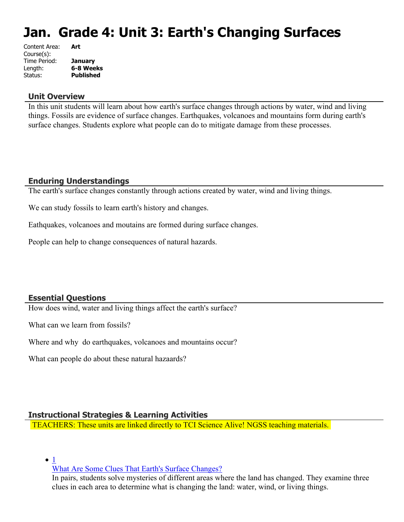# **Jan. Grade 4: Unit 3: Earth's Changing Surfaces**

| Content Area: | Art              |
|---------------|------------------|
| Course(s):    |                  |
| Time Period:  | <b>January</b>   |
| Length:       | 6-8 Weeks        |
| Status:       | <b>Published</b> |
|               |                  |

#### **Unit Overview**

In this unit students will learn about how earth's surface changes through actions by water, wind and living things. Fossils are evidence of surface changes. Earthquakes, volcanoes and mountains form during earth's surface changes. Students explore what people can do to mitigate damage from these processes.

### **Enduring Understandings**

The earth's surface changes constantly through actions created by water, wind and living things.

We can study fossils to learn earth's history and changes.

Eathquakes, volcanoes and moutains are formed during surface changes.

People can help to change consequences of natural hazards.

### **Essential Questions**

How does wind, water and living things affect the earth's surface?

What can we learn from fossils?

Where and why do earthquakes, volcanoes and mountains occur?

What can people do about these natural hazaards?

### **Instructional Strategies & Learning Activities**

TEACHERS: These units are linked directly to TCI Science Alive! NGSS teaching materials.

 $\bullet$  [1](https://subscriptions.teachtci.com/shared/programs/155/lessons/1523/slide_shows)

[What Are Some Clues That Earth's Surface Changes?](https://subscriptions.teachtci.com/shared/programs/155/lessons/1523/slide_shows)

In pairs, students solve mysteries of different areas where the land has changed. They examine three clues in each area to determine what is changing the land: water, wind, or living things.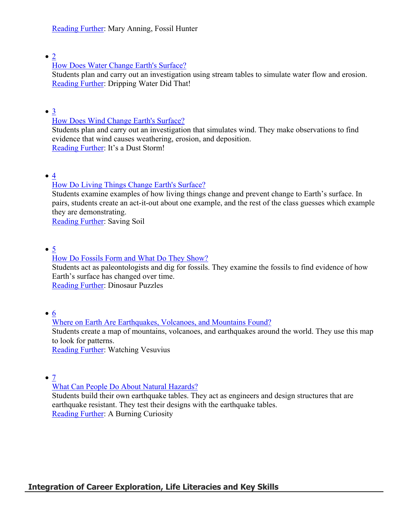### $\bullet$  [2](https://subscriptions.teachtci.com/shared/programs/155/lessons/1524/slide_shows)

### [How Does Water Change Earth's Surface?](https://subscriptions.teachtci.com/shared/programs/155/lessons/1524/slide_shows)

Students plan and carry out an investigation using stream tables to simulate water flow and erosion. [Reading Further](https://subscriptions.teachtci.com/shared/sections/11728?program_id=155&student_view=true): Dripping Water Did That!

### $\bullet$   $\underline{3}$  $\underline{3}$  $\underline{3}$

### [How Does Wind Change Earth's Surface?](https://subscriptions.teachtci.com/shared/programs/155/lessons/1525/slide_shows)

Students plan and carry out an investigation that simulates wind. They make observations to find evidence that wind causes weathering, erosion, and deposition. [Reading Further](https://subscriptions.teachtci.com/shared/sections/11737?program_id=155&student_view=true): It's a Dust Storm!

 $\bullet$  [4](https://subscriptions.teachtci.com/shared/programs/155/lessons/1526/slide_shows)

# [How Do Living Things Change Earth's Surface?](https://subscriptions.teachtci.com/shared/programs/155/lessons/1526/slide_shows)

Students examine examples of how living things change and prevent change to Earth's surface. In pairs, students create an act-it-out about one example, and the rest of the class guesses which example they are demonstrating.

[Reading Further](https://subscriptions.teachtci.com/shared/sections/11786?program_id=155&student_view=true): Saving Soil

 $\bullet$  [5](https://subscriptions.teachtci.com/shared/programs/155/lessons/1527/slide_shows)

### [How Do Fossils Form and What Do They Show?](https://subscriptions.teachtci.com/shared/programs/155/lessons/1527/slide_shows)

Students act as paleontologists and dig for fossils. They examine the fossils to find evidence of how Earth's surface has changed over time.

[Reading Further](https://subscriptions.teachtci.com/shared/sections/11831?program_id=155&student_view=true): Dinosaur Puzzles

 $\bullet$  [6](https://subscriptions.teachtci.com/shared/programs/155/lessons/1528/slide_shows)

# [Where on Earth Are Earthquakes, Volcanoes, and Mountains Found?](https://subscriptions.teachtci.com/shared/programs/155/lessons/1528/slide_shows) Students create a map of mountains, volcanoes, and earthquakes around the world. They use this map to look for patterns. [Reading Further](https://subscriptions.teachtci.com/shared/sections/11859?program_id=155&student_view=true): Watching Vesuvius

[7](https://subscriptions.teachtci.com/shared/programs/155/lessons/1529/slide_shows)

### [What Can People Do About Natural Hazards?](https://subscriptions.teachtci.com/shared/programs/155/lessons/1529/slide_shows)

Students build their own earthquake tables. They act as engineers and design structures that are earthquake resistant. They test their designs with the earthquake tables. [Reading Further](https://subscriptions.teachtci.com/shared/sections/11884?program_id=155&student_view=true): A Burning Curiosity

# **Integration of Career Exploration, Life Literacies and Key Skills**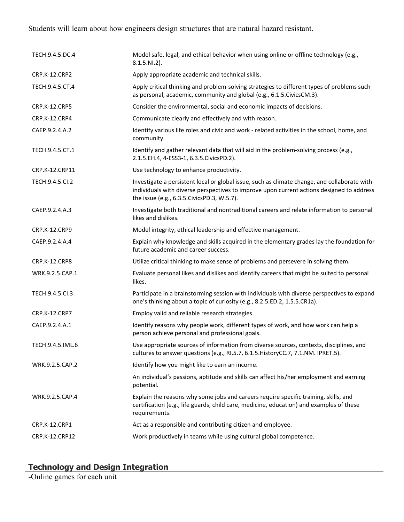# Students will learn about how engineers design structures that are natural hazard resistant.

| TECH.9.4.5.DC.4      | Model safe, legal, and ethical behavior when using online or offline technology (e.g.,<br>$8.1.5.NI.2$ ).                                                                                                                                 |
|----------------------|-------------------------------------------------------------------------------------------------------------------------------------------------------------------------------------------------------------------------------------------|
| CRP.K-12.CRP2        | Apply appropriate academic and technical skills.                                                                                                                                                                                          |
| TECH.9.4.5.CT.4      | Apply critical thinking and problem-solving strategies to different types of problems such<br>as personal, academic, community and global (e.g., 6.1.5. Civics CM.3).                                                                     |
| <b>CRP.K-12.CRP5</b> | Consider the environmental, social and economic impacts of decisions.                                                                                                                                                                     |
| CRP.K-12.CRP4        | Communicate clearly and effectively and with reason.                                                                                                                                                                                      |
| CAEP.9.2.4.A.2       | Identify various life roles and civic and work - related activities in the school, home, and<br>community.                                                                                                                                |
| TECH.9.4.5.CT.1      | Identify and gather relevant data that will aid in the problem-solving process (e.g.,<br>2.1.5.EH.4, 4-ESS3-1, 6.3.5.CivicsPD.2).                                                                                                         |
| CRP.K-12.CRP11       | Use technology to enhance productivity.                                                                                                                                                                                                   |
| TECH.9.4.5.Cl.2      | Investigate a persistent local or global issue, such as climate change, and collaborate with<br>individuals with diverse perspectives to improve upon current actions designed to address<br>the issue (e.g., 6.3.5. Civics PD.3, W.5.7). |
| CAEP.9.2.4.A.3       | Investigate both traditional and nontraditional careers and relate information to personal<br>likes and dislikes.                                                                                                                         |
| CRP.K-12.CRP9        | Model integrity, ethical leadership and effective management.                                                                                                                                                                             |
| CAEP.9.2.4.A.4       | Explain why knowledge and skills acquired in the elementary grades lay the foundation for<br>future academic and career success.                                                                                                          |
| <b>CRP.K-12.CRP8</b> | Utilize critical thinking to make sense of problems and persevere in solving them.                                                                                                                                                        |
| WRK.9.2.5.CAP.1      | Evaluate personal likes and dislikes and identify careers that might be suited to personal<br>likes.                                                                                                                                      |
| TECH.9.4.5.Cl.3      | Participate in a brainstorming session with individuals with diverse perspectives to expand<br>one's thinking about a topic of curiosity (e.g., 8.2.5.ED.2, 1.5.5.CR1a).                                                                  |
| <b>CRP.K-12.CRP7</b> | Employ valid and reliable research strategies.                                                                                                                                                                                            |
| CAEP.9.2.4.A.1       | Identify reasons why people work, different types of work, and how work can help a<br>person achieve personal and professional goals.                                                                                                     |
| TECH.9.4.5.IML.6     | Use appropriate sources of information from diverse sources, contexts, disciplines, and<br>cultures to answer questions (e.g., RI.5.7, 6.1.5. HistoryCC.7, 7.1.NM. IPRET.5).                                                              |
| WRK.9.2.5.CAP.2      | Identify how you might like to earn an income.                                                                                                                                                                                            |
|                      | An individual's passions, aptitude and skills can affect his/her employment and earning<br>potential.                                                                                                                                     |
| WRK.9.2.5.CAP.4      | Explain the reasons why some jobs and careers require specific training, skills, and<br>certification (e.g., life guards, child care, medicine, education) and examples of these<br>requirements.                                         |
| CRP.K-12.CRP1        | Act as a responsible and contributing citizen and employee.                                                                                                                                                                               |
| CRP.K-12.CRP12       | Work productively in teams while using cultural global competence.                                                                                                                                                                        |

### **Technology and Design Integration**

-Online games for each unit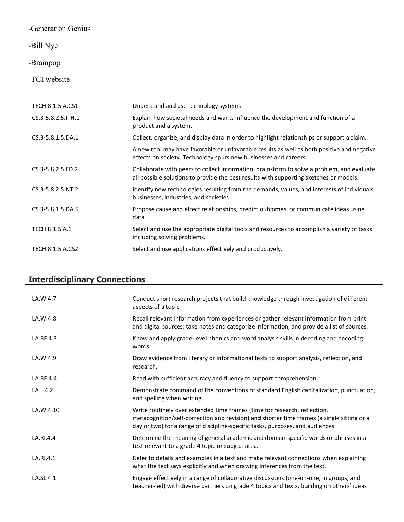# -Generation Genius

# -Bill Nye

# -Brainpop

# -TCI website

| TECH.8.1.5.A.CS1      | Understand and use technology systems                                                                                                                                                |
|-----------------------|--------------------------------------------------------------------------------------------------------------------------------------------------------------------------------------|
| CS.3-5.8.2.5. ITH.1   | Explain how societal needs and wants influence the development and function of a<br>product and a system.                                                                            |
| $CS.3 - 5.8.1.5.DA.1$ | Collect, organize, and display data in order to highlight relationships or support a claim.                                                                                          |
|                       | A new tool may have favorable or unfavorable results as well as both positive and negative<br>effects on society. Technology spurs new businesses and careers.                       |
| CS.3-5.8.2.5.ED.2     | Collaborate with peers to collect information, brainstorm to solve a problem, and evaluate<br>all possible solutions to provide the best results with supporting sketches or models. |
| CS.3-5.8.2.5.NT.2     | Identify new technologies resulting from the demands, values, and interests of individuals,<br>businesses, industries, and societies.                                                |
| CS.3-5.8.1.5.DA.5     | Propose cause and effect relationships, predict outcomes, or communicate ideas using<br>data.                                                                                        |
| TECH.8.1.5.A.1        | Select and use the appropriate digital tools and resources to accomplish a variety of tasks<br>including solving problems.                                                           |
| TECH.8.1.5.A.CS2      | Select and use applications effectively and productively.                                                                                                                            |

# **Interdisciplinary Connections**

| LA.W.4.7  | Conduct short research projects that build knowledge through investigation of different<br>aspects of a topic.                                                                                                                                            |
|-----------|-----------------------------------------------------------------------------------------------------------------------------------------------------------------------------------------------------------------------------------------------------------|
| LA.W.4.8  | Recall relevant information from experiences or gather relevant information from print<br>and digital sources; take notes and categorize information, and provide a list of sources.                                                                      |
| LA.RF.4.3 | Know and apply grade-level phonics and word analysis skills in decoding and encoding<br>words.                                                                                                                                                            |
| LA.W.4.9  | Draw evidence from literary or informational texts to support analysis, reflection, and<br>research.                                                                                                                                                      |
| LA.RF.4.4 | Read with sufficient accuracy and fluency to support comprehension.                                                                                                                                                                                       |
| LA.L.4.2  | Demonstrate command of the conventions of standard English capitalization, punctuation,<br>and spelling when writing.                                                                                                                                     |
| LA.W.4.10 | Write routinely over extended time frames (time for research, reflection,<br>metacognition/self-correction and revision) and shorter time frames (a single sitting or a<br>day or two) for a range of discipline-specific tasks, purposes, and audiences. |
| LA.RI.4.4 | Determine the meaning of general academic and domain-specific words or phrases in a<br>text relevant to a grade 4 topic or subject area.                                                                                                                  |
| LA.RI.4.1 | Refer to details and examples in a text and make relevant connections when explaining<br>what the text says explicitly and when drawing inferences from the text.                                                                                         |
| LA.SL.4.1 | Engage effectively in a range of collaborative discussions (one-on-one, in groups, and<br>teacher-led) with diverse partners on grade 4 topics and texts, building on others' ideas                                                                       |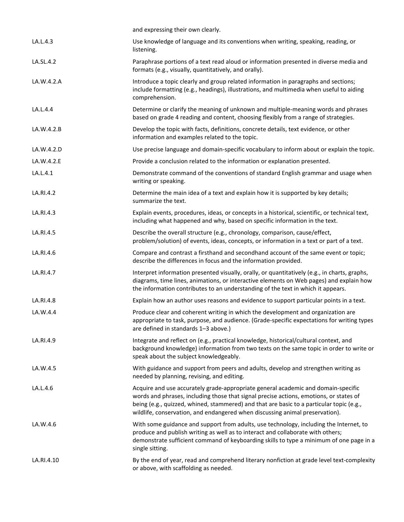| Paraphrase portions of a text read aloud or information presented in diverse media and                                                                                                                                                                                      |
|-----------------------------------------------------------------------------------------------------------------------------------------------------------------------------------------------------------------------------------------------------------------------------|
| include formatting (e.g., headings), illustrations, and multimedia when useful to aiding                                                                                                                                                                                    |
| Determine or clarify the meaning of unknown and multiple-meaning words and phrases                                                                                                                                                                                          |
|                                                                                                                                                                                                                                                                             |
| Use precise language and domain-specific vocabulary to inform about or explain the topic.                                                                                                                                                                                   |
|                                                                                                                                                                                                                                                                             |
| Demonstrate command of the conventions of standard English grammar and usage when                                                                                                                                                                                           |
|                                                                                                                                                                                                                                                                             |
| Explain events, procedures, ideas, or concepts in a historical, scientific, or technical text,                                                                                                                                                                              |
|                                                                                                                                                                                                                                                                             |
|                                                                                                                                                                                                                                                                             |
| Interpret information presented visually, orally, or quantitatively (e.g., in charts, graphs,<br>diagrams, time lines, animations, or interactive elements on Web pages) and explain how                                                                                    |
|                                                                                                                                                                                                                                                                             |
| appropriate to task, purpose, and audience. (Grade-specific expectations for writing types                                                                                                                                                                                  |
| background knowledge) information from two texts on the same topic in order to write or                                                                                                                                                                                     |
|                                                                                                                                                                                                                                                                             |
|                                                                                                                                                                                                                                                                             |
| With some guidance and support from adults, use technology, including the Internet, to<br>demonstrate sufficient command of keyboarding skills to type a minimum of one page in a                                                                                           |
| By the end of year, read and comprehend literary nonfiction at grade level text-complexity                                                                                                                                                                                  |
| problem/solution) of events, ideas, concepts, or information in a text or part of a text.<br>Compare and contrast a firsthand and secondhand account of the same event or topic;<br>Explain how an author uses reasons and evidence to support particular points in a text. |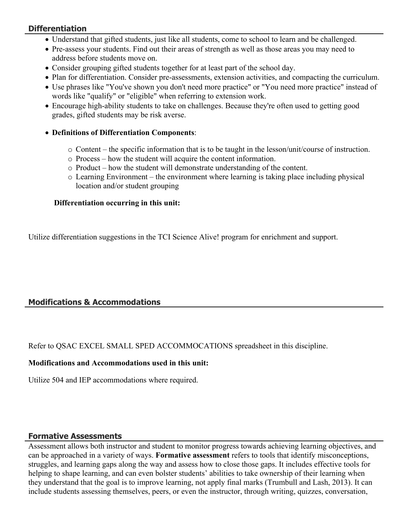### **Differentiation**

- Understand that gifted students, just like all students, come to school to learn and be challenged.
- Pre-assess your students. Find out their areas of strength as well as those areas you may need to address before students move on.
- Consider grouping gifted students together for at least part of the school day.
- Plan for differentiation. Consider pre-assessments, extension activities, and compacting the curriculum.
- Use phrases like "You've shown you don't need more practice" or "You need more practice" instead of words like "qualify" or "eligible" when referring to extension work.
- Encourage high-ability students to take on challenges. Because they're often used to getting good grades, gifted students may be risk averse.
- **Definitions of Differentiation Components**:
	- $\circ$  Content the specific information that is to be taught in the lesson/unit/course of instruction.
	- o Process how the student will acquire the content information.
	- o Product how the student will demonstrate understanding of the content.
	- $\circ$  Learning Environment the environment where learning is taking place including physical location and/or student grouping

### **Differentiation occurring in this unit:**

Utilize differentiation suggestions in the TCI Science Alive! program for enrichment and support.

# **Modifications & Accommodations**

Refer to QSAC EXCEL SMALL SPED ACCOMMOCATIONS spreadsheet in this discipline.

### **Modifications and Accommodations used in this unit:**

Utilize 504 and IEP accommodations where required.

### **Formative Assessments**

Assessment allows both instructor and student to monitor progress towards achieving learning objectives, and can be approached in a variety of ways. **Formative assessment** refers to tools that identify misconceptions, struggles, and learning gaps along the way and assess how to close those gaps. It includes effective tools for helping to shape learning, and can even bolster students' abilities to take ownership of their learning when they understand that the goal is to improve learning, not apply final marks (Trumbull and Lash, 2013). It can include students assessing themselves, peers, or even the instructor, through writing, quizzes, conversation,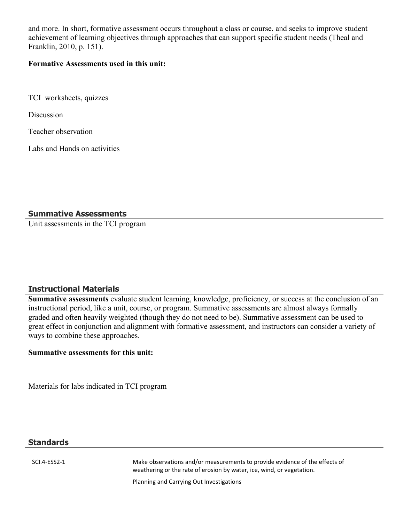and more. In short, formative assessment occurs throughout a class or course, and seeks to improve student achievement of learning objectives through approaches that can support specific student needs (Theal and Franklin, 2010, p. 151).

#### **Formative Assessments used in this unit:**

TCI worksheets, quizzes

**Discussion** 

Teacher observation

Labs and Hands on activities

### **Summative Assessments**

Unit assessments in the TCI program

### **Instructional Materials**

**Summative assessments** evaluate student learning, knowledge, proficiency, or success at the conclusion of an instructional period, like a unit, course, or program. Summative assessments are almost always formally graded and often heavily weighted (though they do not need to be). Summative assessment can be used to great effect in conjunction and alignment with formative assessment, and instructors can consider a variety of ways to combine these approaches.

### **Summative assessments for this unit:**

Materials for labs indicated in TCI program

### **Standards**

SCI.4-ESS2-1 Make observations and/or measurements to provide evidence of the effects of weathering or the rate of erosion by water, ice, wind, or vegetation.

Planning and Carrying Out Investigations